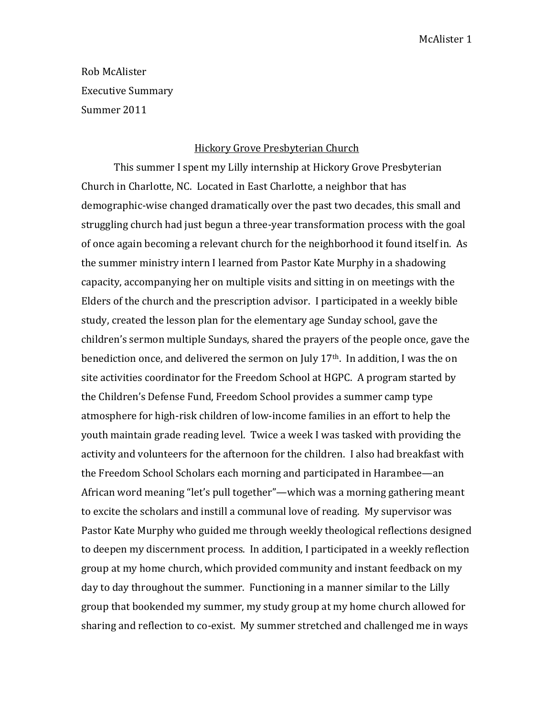Rob McAlister Executive Summary Summer 2011

## Hickory Grove Presbyterian Church

This summer I spent my Lilly internship at Hickory Grove Presbyterian Church in Charlotte, NC. Located in East Charlotte, a neighbor that has demographic-wise changed dramatically over the past two decades, this small and struggling church had just begun a three-year transformation process with the goal of once again becoming a relevant church for the neighborhood it found itself in. As the summer ministry intern I learned from Pastor Kate Murphy in a shadowing capacity, accompanying her on multiple visits and sitting in on meetings with the Elders of the church and the prescription advisor. I participated in a weekly bible study, created the lesson plan for the elementary age Sunday school, gave the children's sermon multiple Sundays, shared the prayers of the people once, gave the benediction once, and delivered the sermon on July 17th. In addition, I was the on site activities coordinator for the Freedom School at HGPC. A program started by the Children's Defense Fund, Freedom School provides a summer camp type atmosphere for high-risk children of low-income families in an effort to help the youth maintain grade reading level. Twice a week I was tasked with providing the activity and volunteers for the afternoon for the children. I also had breakfast with the Freedom School Scholars each morning and participated in Harambee—an African word meaning "let's pull together"—which was a morning gathering meant to excite the scholars and instill a communal love of reading. My supervisor was Pastor Kate Murphy who guided me through weekly theological reflections designed to deepen my discernment process. In addition, I participated in a weekly reflection group at my home church, which provided community and instant feedback on my day to day throughout the summer. Functioning in a manner similar to the Lilly group that bookended my summer, my study group at my home church allowed for sharing and reflection to co-exist. My summer stretched and challenged me in ways